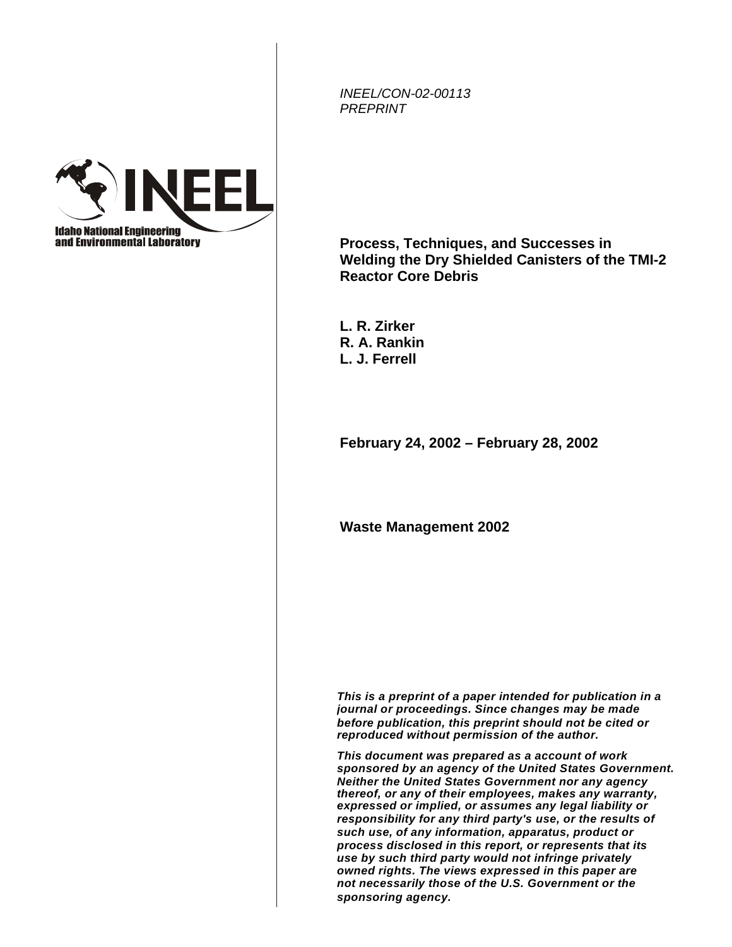*INEEL/CON-02-00113 PREPRINT*



**Process, Techniques, and Successes in Welding the Dry Shielded Canisters of the TMI-2 Reactor Core Debris** 

**L. R. Zirker R. A. Rankin L. J. Ferrell** 

**February 24, 2002 – February 28, 2002** 

**Waste Management 2002** 

*This is a preprint of a paper intended for publication in a journal or proceedings. Since changes may be made before publication, this preprint should not be cited or reproduced without permission of the author.* 

*This document was prepared as a account of work sponsored by an agency of the United States Government. Neither the United States Government nor any agency thereof, or any of their employees, makes any warranty, expressed or implied, or assumes any legal liability or responsibility for any third party's use, or the results of such use, of any information, apparatus, product or process disclosed in this report, or represents that its use by such third party would not infringe privately owned rights. The views expressed in this paper are not necessarily those of the U.S. Government or the sponsoring agency.*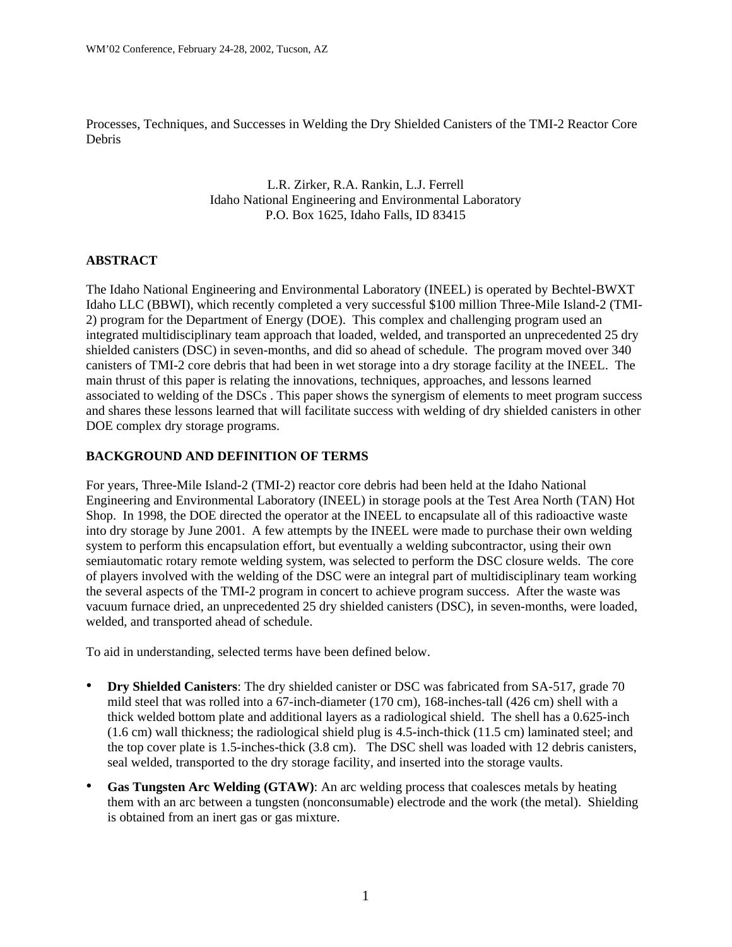Processes, Techniques, and Successes in Welding the Dry Shielded Canisters of the TMI-2 Reactor Core Debris

> L.R. Zirker, R.A. Rankin, L.J. Ferrell Idaho National Engineering and Environmental Laboratory P.O. Box 1625, Idaho Falls, ID 83415

### **ABSTRACT**

The Idaho National Engineering and Environmental Laboratory (INEEL) is operated by Bechtel-BWXT Idaho LLC (BBWI), which recently completed a very successful \$100 million Three-Mile Island-2 (TMI-2) program for the Department of Energy (DOE). This complex and challenging program used an integrated multidisciplinary team approach that loaded, welded, and transported an unprecedented 25 dry shielded canisters (DSC) in seven-months, and did so ahead of schedule. The program moved over 340 canisters of TMI-2 core debris that had been in wet storage into a dry storage facility at the INEEL. The main thrust of this paper is relating the innovations, techniques, approaches, and lessons learned associated to welding of the DSCs . This paper shows the synergism of elements to meet program success and shares these lessons learned that will facilitate success with welding of dry shielded canisters in other DOE complex dry storage programs.

### **BACKGROUND AND DEFINITION OF TERMS**

For years, Three-Mile Island-2 (TMI-2) reactor core debris had been held at the Idaho National Engineering and Environmental Laboratory (INEEL) in storage pools at the Test Area North (TAN) Hot Shop. In 1998, the DOE directed the operator at the INEEL to encapsulate all of this radioactive waste into dry storage by June 2001. A few attempts by the INEEL were made to purchase their own welding system to perform this encapsulation effort, but eventually a welding subcontractor, using their own semiautomatic rotary remote welding system, was selected to perform the DSC closure welds. The core of players involved with the welding of the DSC were an integral part of multidisciplinary team working the several aspects of the TMI-2 program in concert to achieve program success. After the waste was vacuum furnace dried, an unprecedented 25 dry shielded canisters (DSC), in seven-months, were loaded, welded, and transported ahead of schedule.

To aid in understanding, selected terms have been defined below.

- **Dry Shielded Canisters**: The dry shielded canister or DSC was fabricated from SA-517, grade 70 mild steel that was rolled into a 67-inch-diameter (170 cm), 168-inches-tall (426 cm) shell with a thick welded bottom plate and additional layers as a radiological shield. The shell has a 0.625-inch (1.6 cm) wall thickness; the radiological shield plug is 4.5-inch-thick (11.5 cm) laminated steel; and the top cover plate is 1.5-inches-thick (3.8 cm). The DSC shell was loaded with 12 debris canisters, seal welded, transported to the dry storage facility, and inserted into the storage vaults.
- **Gas Tungsten Arc Welding (GTAW)**: An arc welding process that coalesces metals by heating them with an arc between a tungsten (nonconsumable) electrode and the work (the metal). Shielding is obtained from an inert gas or gas mixture.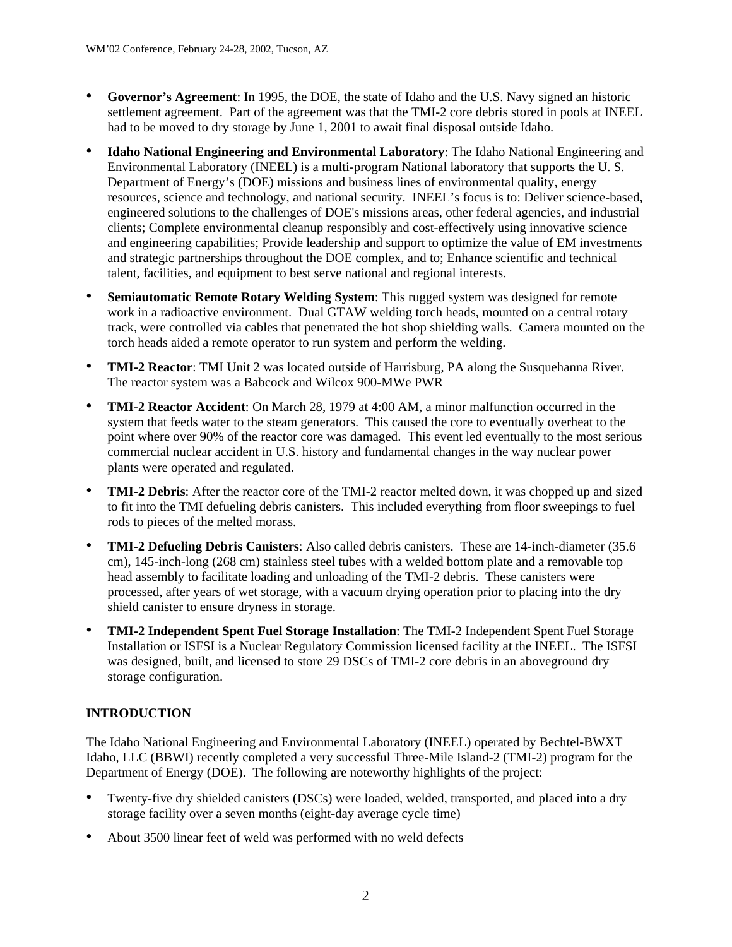- **Governor's Agreement**: In 1995, the DOE, the state of Idaho and the U.S. Navy signed an historic settlement agreement. Part of the agreement was that the TMI-2 core debris stored in pools at INEEL had to be moved to dry storage by June 1, 2001 to await final disposal outside Idaho.
- $\bullet$ **Idaho National Engineering and Environmental Laboratory**: The Idaho National Engineering and Environmental Laboratory (INEEL) is a multi-program National laboratory that supports the U. S. Department of Energy's (DOE) missions and business lines of environmental quality, energy resources, science and technology, and national security. INEEL's focus is to: Deliver science-based, engineered solutions to the challenges of DOE's missions areas, other federal agencies, and industrial clients; Complete environmental cleanup responsibly and cost-effectively using innovative science and engineering capabilities; Provide leadership and support to optimize the value of EM investments and strategic partnerships throughout the DOE complex, and to; Enhance scientific and technical talent, facilities, and equipment to best serve national and regional interests.
- **Semiautomatic Remote Rotary Welding System:** This rugged system was designed for remote work in a radioactive environment. Dual GTAW welding torch heads, mounted on a central rotary track, were controlled via cables that penetrated the hot shop shielding walls. Camera mounted on the torch heads aided a remote operator to run system and perform the welding.
- $\bullet$ **TMI-2 Reactor**: TMI Unit 2 was located outside of Harrisburg, PA along the Susquehanna River. The reactor system was a Babcock and Wilcox 900-MWe PWR
- $\bullet$ **TMI-2 Reactor Accident**: On March 28, 1979 at 4:00 AM, a minor malfunction occurred in the system that feeds water to the steam generators. This caused the core to eventually overheat to the point where over 90% of the reactor core was damaged. This event led eventually to the most serious commercial nuclear accident in U.S. history and fundamental changes in the way nuclear power plants were operated and regulated.
- **TMI-2 Debris**: After the reactor core of the TMI-2 reactor melted down, it was chopped up and sized to fit into the TMI defueling debris canisters. This included everything from floor sweepings to fuel rods to pieces of the melted morass.
- $\bullet$ **TMI-2 Defueling Debris Canisters**: Also called debris canisters. These are 14-inch-diameter (35.6 cm), 145-inch-long (268 cm) stainless steel tubes with a welded bottom plate and a removable top head assembly to facilitate loading and unloading of the TMI-2 debris. These canisters were processed, after years of wet storage, with a vacuum drying operation prior to placing into the dry shield canister to ensure dryness in storage.
- $\bullet$ **TMI-2 Independent Spent Fuel Storage Installation**: The TMI-2 Independent Spent Fuel Storage Installation or ISFSI is a Nuclear Regulatory Commission licensed facility at the INEEL. The ISFSI was designed, built, and licensed to store 29 DSCs of TMI-2 core debris in an aboveground dry storage configuration.

# **INTRODUCTION**

The Idaho National Engineering and Environmental Laboratory (INEEL) operated by Bechtel-BWXT Idaho, LLC (BBWI) recently completed a very successful Three-Mile Island-2 (TMI-2) program for the Department of Energy (DOE). The following are noteworthy highlights of the project:

- Twenty-five dry shielded canisters (DSCs) were loaded, welded, transported, and placed into a dry storage facility over a seven months (eight-day average cycle time)
- About 3500 linear feet of weld was performed with no weld defects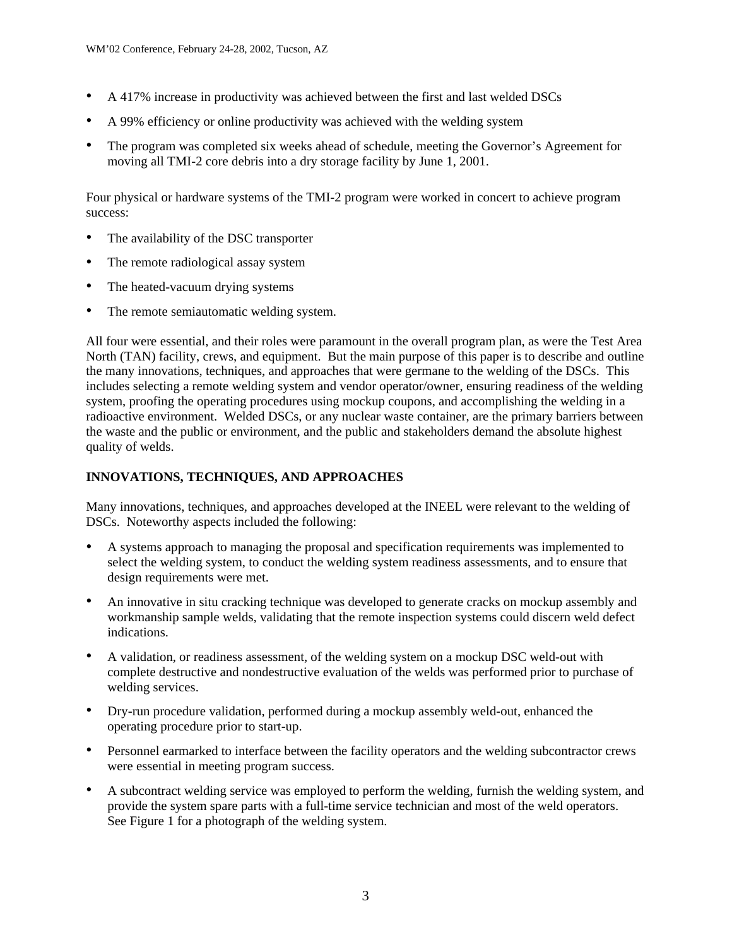- A 417% increase in productivity was achieved between the first and last welded DSCs
- A 99% efficiency or online productivity was achieved with the welding system
- The program was completed six weeks ahead of schedule, meeting the Governor's Agreement for moving all TMI-2 core debris into a dry storage facility by June 1, 2001.

Four physical or hardware systems of the TMI-2 program were worked in concert to achieve program success:

- The availability of the DSC transporter
- The remote radiological assay system
- The heated-vacuum drying systems
- The remote semiautomatic welding system.

All four were essential, and their roles were paramount in the overall program plan, as were the Test Area North (TAN) facility, crews, and equipment. But the main purpose of this paper is to describe and outline the many innovations, techniques, and approaches that were germane to the welding of the DSCs. This includes selecting a remote welding system and vendor operator/owner, ensuring readiness of the welding system, proofing the operating procedures using mockup coupons, and accomplishing the welding in a radioactive environment. Welded DSCs, or any nuclear waste container, are the primary barriers between the waste and the public or environment, and the public and stakeholders demand the absolute highest quality of welds.

# **INNOVATIONS, TECHNIQUES, AND APPROACHES**

Many innovations, techniques, and approaches developed at the INEEL were relevant to the welding of DSCs. Noteworthy aspects included the following:

- A systems approach to managing the proposal and specification requirements was implemented to select the welding system, to conduct the welding system readiness assessments, and to ensure that design requirements were met.
- $\bullet$ An innovative in situ cracking technique was developed to generate cracks on mockup assembly and workmanship sample welds, validating that the remote inspection systems could discern weld defect indications.
- $\bullet$ A validation, or readiness assessment, of the welding system on a mockup DSC weld-out with complete destructive and nondestructive evaluation of the welds was performed prior to purchase of welding services.
- Dry-run procedure validation, performed during a mockup assembly weld-out, enhanced the operating procedure prior to start-up.
- Personnel earmarked to interface between the facility operators and the welding subcontractor crews were essential in meeting program success.
- A subcontract welding service was employed to perform the welding, furnish the welding system, and provide the system spare parts with a full-time service technician and most of the weld operators. See Figure 1 for a photograph of the welding system.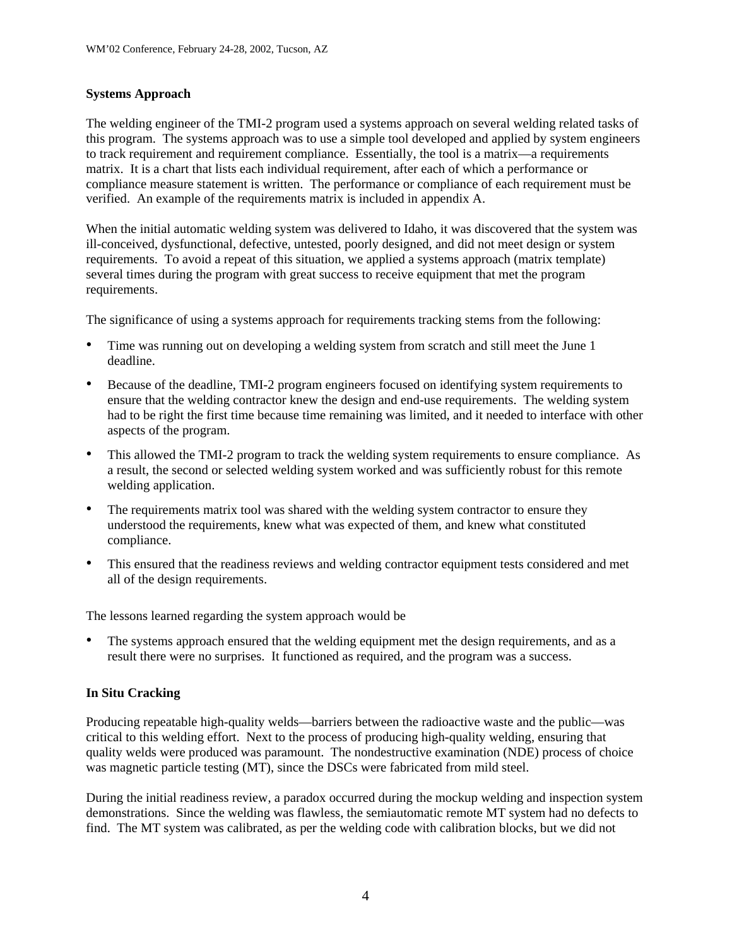### **Systems Approach**

The welding engineer of the TMI-2 program used a systems approach on several welding related tasks of this program. The systems approach was to use a simple tool developed and applied by system engineers to track requirement and requirement compliance. Essentially, the tool is a matrix—a requirements matrix. It is a chart that lists each individual requirement, after each of which a performance or compliance measure statement is written. The performance or compliance of each requirement must be verified. An example of the requirements matrix is included in appendix A.

When the initial automatic welding system was delivered to Idaho, it was discovered that the system was ill-conceived, dysfunctional, defective, untested, poorly designed, and did not meet design or system requirements. To avoid a repeat of this situation, we applied a systems approach (matrix template) several times during the program with great success to receive equipment that met the program requirements.

The significance of using a systems approach for requirements tracking stems from the following:

- Time was running out on developing a welding system from scratch and still meet the June 1 deadline.
- Because of the deadline, TMI-2 program engineers focused on identifying system requirements to ensure that the welding contractor knew the design and end-use requirements. The welding system had to be right the first time because time remaining was limited, and it needed to interface with other aspects of the program.
- $\bullet$ This allowed the TMI-2 program to track the welding system requirements to ensure compliance. As a result, the second or selected welding system worked and was sufficiently robust for this remote welding application.
- The requirements matrix tool was shared with the welding system contractor to ensure they understood the requirements, knew what was expected of them, and knew what constituted compliance.
- This ensured that the readiness reviews and welding contractor equipment tests considered and met all of the design requirements.

The lessons learned regarding the system approach would be

• The systems approach ensured that the welding equipment met the design requirements, and as a result there were no surprises. It functioned as required, and the program was a success.

### **In Situ Cracking**

Producing repeatable high-quality welds—barriers between the radioactive waste and the public—was critical to this welding effort. Next to the process of producing high-quality welding, ensuring that quality welds were produced was paramount. The nondestructive examination (NDE) process of choice was magnetic particle testing (MT), since the DSCs were fabricated from mild steel.

During the initial readiness review, a paradox occurred during the mockup welding and inspection system demonstrations. Since the welding was flawless, the semiautomatic remote MT system had no defects to find. The MT system was calibrated, as per the welding code with calibration blocks, but we did not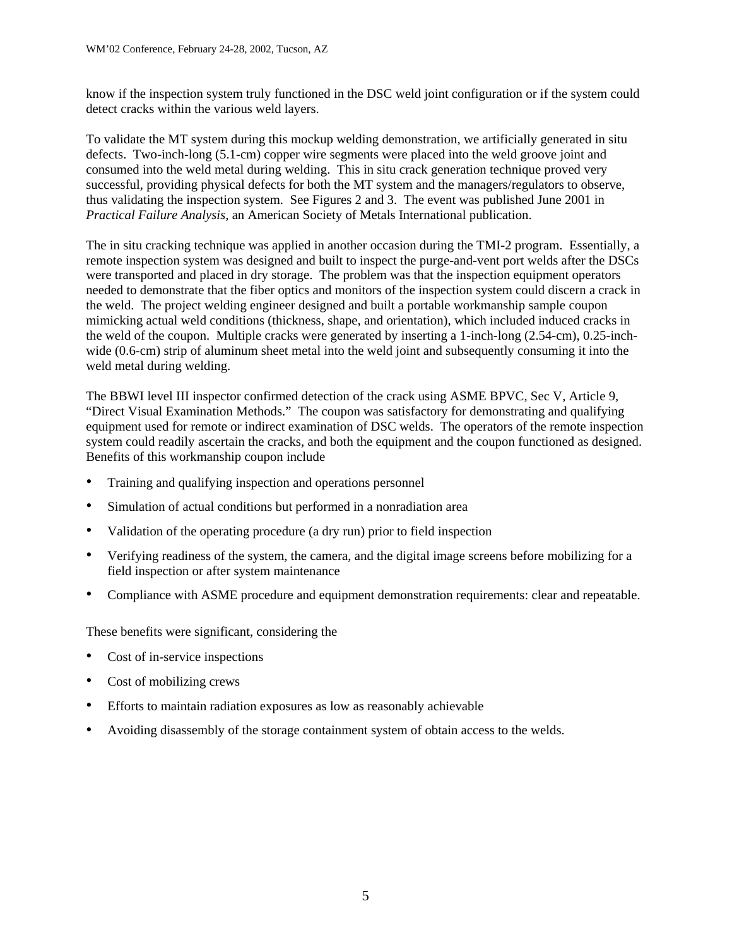know if the inspection system truly functioned in the DSC weld joint configuration or if the system could detect cracks within the various weld layers.

To validate the MT system during this mockup welding demonstration, we artificially generated in situ defects. Two-inch-long (5.1-cm) copper wire segments were placed into the weld groove joint and consumed into the weld metal during welding. This in situ crack generation technique proved very successful, providing physical defects for both the MT system and the managers/regulators to observe, thus validating the inspection system. See Figures 2 and 3. The event was published June 2001 in *Practical Failure Analysis,* an American Society of Metals International publication.

The in situ cracking technique was applied in another occasion during the TMI-2 program. Essentially, a remote inspection system was designed and built to inspect the purge-and-vent port welds after the DSCs were transported and placed in dry storage. The problem was that the inspection equipment operators needed to demonstrate that the fiber optics and monitors of the inspection system could discern a crack in the weld. The project welding engineer designed and built a portable workmanship sample coupon mimicking actual weld conditions (thickness, shape, and orientation), which included induced cracks in the weld of the coupon. Multiple cracks were generated by inserting a 1-inch-long (2.54-cm), 0.25-inchwide (0.6-cm) strip of aluminum sheet metal into the weld joint and subsequently consuming it into the weld metal during welding.

The BBWI level III inspector confirmed detection of the crack using ASME BPVC, Sec V, Article 9, "Direct Visual Examination Methods." The coupon was satisfactory for demonstrating and qualifying equipment used for remote or indirect examination of DSC welds. The operators of the remote inspection system could readily ascertain the cracks, and both the equipment and the coupon functioned as designed. Benefits of this workmanship coupon include

- Training and qualifying inspection and operations personnel
- Simulation of actual conditions but performed in a nonradiation area
- Validation of the operating procedure (a dry run) prior to field inspection
- $\bullet$ Verifying readiness of the system, the camera, and the digital image screens before mobilizing for a field inspection or after system maintenance
- $\bullet$ Compliance with ASME procedure and equipment demonstration requirements: clear and repeatable.

These benefits were significant, considering the

- Cost of in-service inspections
- Cost of mobilizing crews
- Efforts to maintain radiation exposures as low as reasonably achievable
- Avoiding disassembly of the storage containment system of obtain access to the welds.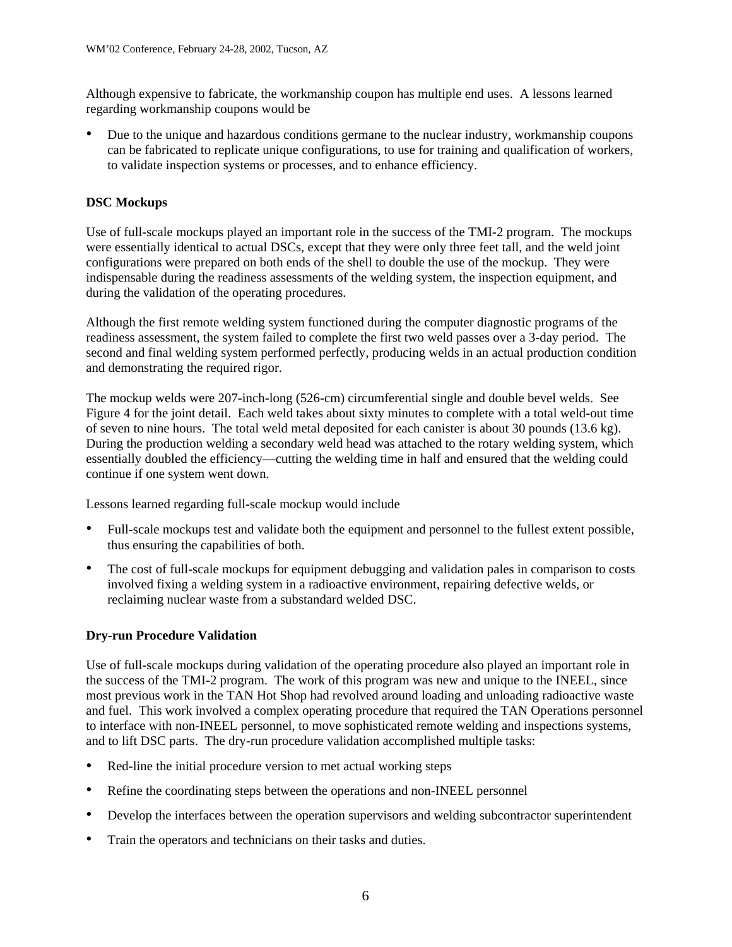Although expensive to fabricate, the workmanship coupon has multiple end uses. A lessons learned regarding workmanship coupons would be

• Due to the unique and hazardous conditions germane to the nuclear industry, workmanship coupons can be fabricated to replicate unique configurations, to use for training and qualification of workers, to validate inspection systems or processes, and to enhance efficiency.

### **DSC Mockups**

Use of full-scale mockups played an important role in the success of the TMI-2 program. The mockups were essentially identical to actual DSCs, except that they were only three feet tall, and the weld joint configurations were prepared on both ends of the shell to double the use of the mockup. They were indispensable during the readiness assessments of the welding system, the inspection equipment, and during the validation of the operating procedures.

Although the first remote welding system functioned during the computer diagnostic programs of the readiness assessment, the system failed to complete the first two weld passes over a 3-day period. The second and final welding system performed perfectly, producing welds in an actual production condition and demonstrating the required rigor.

The mockup welds were 207-inch-long (526-cm) circumferential single and double bevel welds. See Figure 4 for the joint detail. Each weld takes about sixty minutes to complete with a total weld-out time of seven to nine hours. The total weld metal deposited for each canister is about 30 pounds (13.6 kg). During the production welding a secondary weld head was attached to the rotary welding system, which essentially doubled the efficiency—cutting the welding time in half and ensured that the welding could continue if one system went down.

Lessons learned regarding full-scale mockup would include

- Full-scale mockups test and validate both the equipment and personnel to the fullest extent possible, thus ensuring the capabilities of both.
- The cost of full-scale mockups for equipment debugging and validation pales in comparison to costs involved fixing a welding system in a radioactive environment, repairing defective welds, or reclaiming nuclear waste from a substandard welded DSC.

### **Dry-run Procedure Validation**

Use of full-scale mockups during validation of the operating procedure also played an important role in the success of the TMI-2 program. The work of this program was new and unique to the INEEL, since most previous work in the TAN Hot Shop had revolved around loading and unloading radioactive waste and fuel. This work involved a complex operating procedure that required the TAN Operations personnel to interface with non-INEEL personnel, to move sophisticated remote welding and inspections systems, and to lift DSC parts. The dry-run procedure validation accomplished multiple tasks:

- Red-line the initial procedure version to met actual working steps
- Refine the coordinating steps between the operations and non-INEEL personnel
- Develop the interfaces between the operation supervisors and welding subcontractor superintendent
- Train the operators and technicians on their tasks and duties.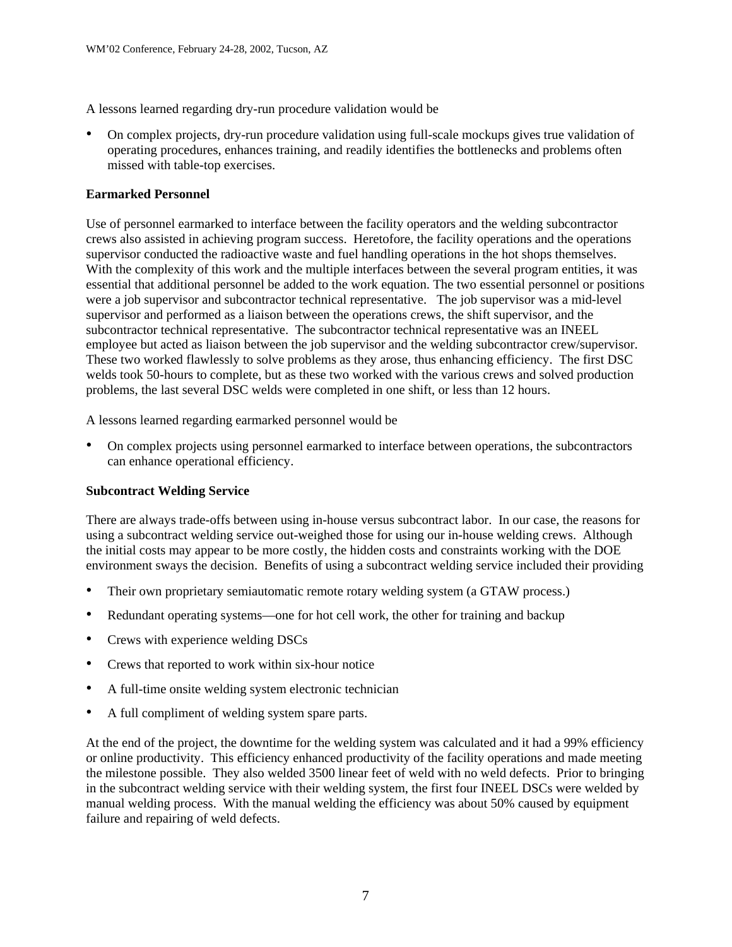A lessons learned regarding dry-run procedure validation would be

• On complex projects, dry-run procedure validation using full-scale mockups gives true validation of operating procedures, enhances training, and readily identifies the bottlenecks and problems often missed with table-top exercises.

## **Earmarked Personnel**

Use of personnel earmarked to interface between the facility operators and the welding subcontractor crews also assisted in achieving program success. Heretofore, the facility operations and the operations supervisor conducted the radioactive waste and fuel handling operations in the hot shops themselves. With the complexity of this work and the multiple interfaces between the several program entities, it was essential that additional personnel be added to the work equation. The two essential personnel or positions were a job supervisor and subcontractor technical representative. The job supervisor was a mid-level supervisor and performed as a liaison between the operations crews, the shift supervisor, and the subcontractor technical representative. The subcontractor technical representative was an INEEL employee but acted as liaison between the job supervisor and the welding subcontractor crew/supervisor. These two worked flawlessly to solve problems as they arose, thus enhancing efficiency. The first DSC welds took 50-hours to complete, but as these two worked with the various crews and solved production problems, the last several DSC welds were completed in one shift, or less than 12 hours.

A lessons learned regarding earmarked personnel would be

• On complex projects using personnel earmarked to interface between operations, the subcontractors can enhance operational efficiency.

# **Subcontract Welding Service**

There are always trade-offs between using in-house versus subcontract labor. In our case, the reasons for using a subcontract welding service out-weighed those for using our in-house welding crews. Although the initial costs may appear to be more costly, the hidden costs and constraints working with the DOE environment sways the decision. Benefits of using a subcontract welding service included their providing

- Their own proprietary semiautomatic remote rotary welding system (a GTAW process.)
- Redundant operating systems—one for hot cell work, the other for training and backup
- $\bullet$ Crews with experience welding DSCs
- Crews that reported to work within six-hour notice
- A full-time onsite welding system electronic technician
- A full compliment of welding system spare parts.

At the end of the project, the downtime for the welding system was calculated and it had a 99% efficiency or online productivity. This efficiency enhanced productivity of the facility operations and made meeting the milestone possible. They also welded 3500 linear feet of weld with no weld defects. Prior to bringing in the subcontract welding service with their welding system, the first four INEEL DSCs were welded by manual welding process. With the manual welding the efficiency was about 50% caused by equipment failure and repairing of weld defects.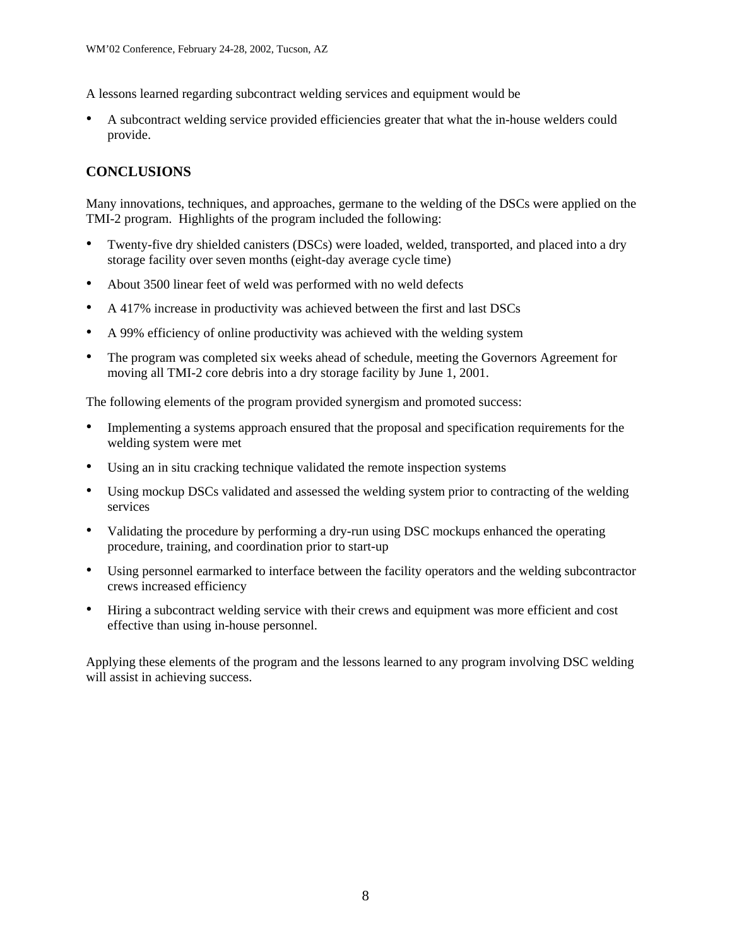A lessons learned regarding subcontract welding services and equipment would be

• A subcontract welding service provided efficiencies greater that what the in-house welders could provide.

# **CONCLUSIONS**

Many innovations, techniques, and approaches, germane to the welding of the DSCs were applied on the TMI-2 program. Highlights of the program included the following:

- Twenty-five dry shielded canisters (DSCs) were loaded, welded, transported, and placed into a dry storage facility over seven months (eight-day average cycle time)
- About 3500 linear feet of weld was performed with no weld defects
- A 417% increase in productivity was achieved between the first and last DSCs
- A 99% efficiency of online productivity was achieved with the welding system
- The program was completed six weeks ahead of schedule, meeting the Governors Agreement for moving all TMI-2 core debris into a dry storage facility by June 1, 2001.

The following elements of the program provided synergism and promoted success:

- Implementing a systems approach ensured that the proposal and specification requirements for the welding system were met
- $\bullet$ Using an in situ cracking technique validated the remote inspection systems
- Using mockup DSCs validated and assessed the welding system prior to contracting of the welding services
- Validating the procedure by performing a dry-run using DSC mockups enhanced the operating procedure, training, and coordination prior to start-up
- $\bullet$ Using personnel earmarked to interface between the facility operators and the welding subcontractor crews increased efficiency
- Hiring a subcontract welding service with their crews and equipment was more efficient and cost effective than using in-house personnel.

Applying these elements of the program and the lessons learned to any program involving DSC welding will assist in achieving success.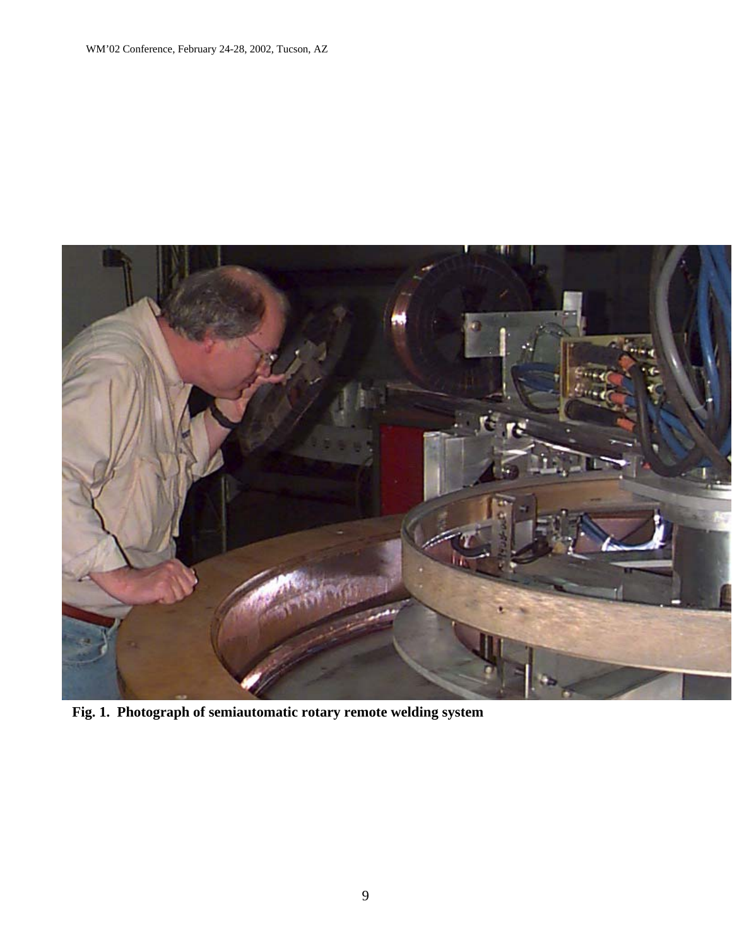

**Fig. 1. Photograph of semiautomatic rotary remote welding system**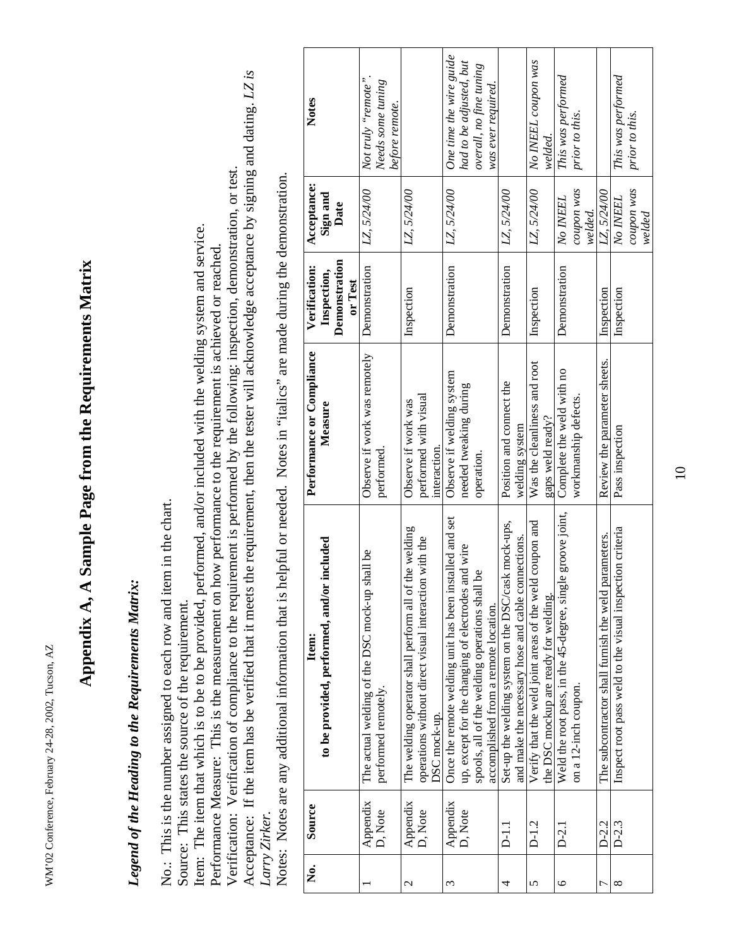WM'02 Conference, February 24-28, 2002, Tucson, AZ WM'02 Conference, February 24-28, 2002, Tucson, AZ

# **Appendix A, A Sample Page from the Requirements Matrix**  Appendix A, A Sample Page from the Requirements Matrix

# *Legend of the Heading to the Requirements Matrix:*  Legend of the Heading to the Requirements Matrix:

No.: This is the number assigned to each row and item in the chart. No.: This is the number assigned to each row and item in the chart.

Source: This states the source of the requirement. Source: This states the source of the requirement.

Item: The item that which is to be to be provided, performed, and/or included with the welding system and service. Item: The item that which is to be to be provided, performed, and/or included with the welding system and service.

Performance Measure: This is the measurement on how performance to the requirement is achieved or reached. Performance Measure: This is the measurement on how performance to the requirement is achieved or reached.

Acceptance: If the item has be verified that it meets the requirement, then the tester will acknowledge acceptance by signing and dating. *LZ is*  Acceptance: If the item has be verified that it meets the requirement, then the tester will acknowledge acceptance by signing and dating. LZ is Verification: Verification of compliance to the requirement is performed by the following: inspection, demonstration, or test. Verification: Verification of compliance to the requirement is performed by the following: inspection, demonstration, or test. *Larry Zirker.*  Larry Zirker.

Notes: Notes are any additional information that is helpful or needed. Notes in "italics" are made during the demonstration. Notes: Notes are any additional information that is helpful or needed. Notes in "italics" are made during the demonstration.

| ż<br>Ż | Source              | Item:                                                                                                                                                                                                     | Performance or Compliance                                         | Verification:            | Acceptance:                       | Notes                                                                                               |
|--------|---------------------|-----------------------------------------------------------------------------------------------------------------------------------------------------------------------------------------------------------|-------------------------------------------------------------------|--------------------------|-----------------------------------|-----------------------------------------------------------------------------------------------------|
|        |                     | to be provided, performed, and/or included                                                                                                                                                                | Measure                                                           | Inspection,              | Sign and                          |                                                                                                     |
|        |                     |                                                                                                                                                                                                           |                                                                   | Demonstration<br>or Test | Date                              |                                                                                                     |
|        | Appendix<br>D, Note | The actual welding of the DSC mock-up shall be<br>performed remotely.                                                                                                                                     | Observe if work was remotely<br>performed.                        | Demonstration            | LZ, 5/24/00                       | Not truly "remote".<br>Needs some tuning<br>before remote.                                          |
| 2      | Appendix<br>D, Note | The welding operator shall perform all of the welding<br>with the<br>operations without direct visual interaction<br>DSC mock-up.                                                                         | performed with visual<br>Observe if work was<br>interaction.      | Inspection               | LZ, 5/24/00                       |                                                                                                     |
| 3      | Appendix<br>D, Note | Once the remote welding unit has been installed and set<br>up, except for the changing of electrodes and wire<br>g<br>spools, all of the welding operations shall<br>accomplished from a remote location. | Observe if welding system<br>needed tweaking during<br>operation. | Demonstration            | LZ, 5/24/00                       | One time the wire guide<br>had to be adjusted, but<br>overall, no fine tuning<br>was ever required. |
| 4      | $\Xi$               | Set-up the welding system on the DSC/cask mock-ups,<br>and make the necessary hose and cable connections.                                                                                                 | Position and connect the<br>welding system                        | Demonstration            | LZ, 5/24/00                       |                                                                                                     |
| 5      | $D-1.2$             | coupon and<br>Verify that the weld joint areas of the weld<br>the DSC mockup are ready for welding.                                                                                                       | Was the cleanliness and root<br>gaps weld ready?                  | Inspection               | LZ, 5/24/00                       | No INEEL coupon was<br>welded.                                                                      |
| 6      | $\overline{D-2.1}$  | Weld the root pass, in the 45-degree, single groove joint,<br>on a 12-inch coupon.                                                                                                                        | Complete the weld with no<br>workmanship defects.                 | Demonstration            | coupon was<br>No INEEL<br>welded. | This was performed<br>prior to this.                                                                |
| ᡕ      | $D-2.2$             | The subcontractor shall furnish the weld parameters.                                                                                                                                                      | Review the parameter sheets.                                      | Inspection               | LZ, 5/24/00                       |                                                                                                     |
| ∞      | $D-2.3$             | Inspect root pass weld to the visual inspection criteria                                                                                                                                                  | Pass inspection                                                   | Inspection               | coupon was<br>No INEEL<br>welded  | This was performed<br>prior to this.                                                                |

10